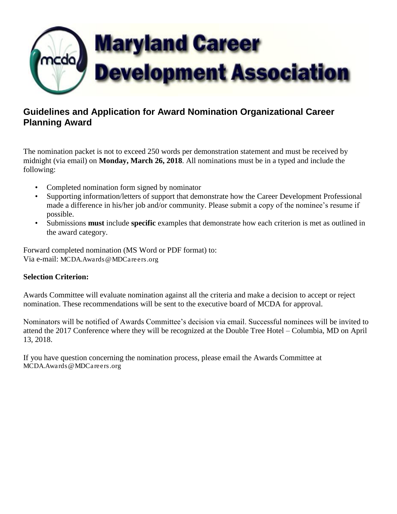

## **Guidelines and Application for Award Nomination Organizational Career Planning Award**

The nomination packet is not to exceed 250 words per demonstration statement and must be received by midnight (via email) on **Monday, March 26, 2018**. All nominations must be in a typed and include the following:

- Completed nomination form signed by nominator
- Supporting information/letters of support that demonstrate how the Career Development Professional made a difference in his/her job and/or community. Please submit a copy of the nominee's resume if possible.
- Submissions **must** include **specific** examples that demonstrate how each criterion is met as outlined in the award category.

Forward completed nomination (MS Word or PDF format) to: Via e-mail: [MCDA.Awards@MDCareers.org](mailto:MCDA.Awards@MDCareers.org)

## **Selection Criterion:**

Awards Committee will evaluate nomination against all the criteria and make a decision to accept or reject nomination. These recommendations will be sent to the executive board of MCDA for approval.

Nominators will be notified of Awards Committee's decision via email. Successful nominees will be invited to attend the 2017 Conference where they will be recognized at the Double Tree Hotel – Columbia, MD on April 13, 2018.

If you have question concerning the nomination process, please email the Awards Committee at [MCDA.Awards@MDCareers.org](mailto:MCDA.Awards@MDCareers.org)